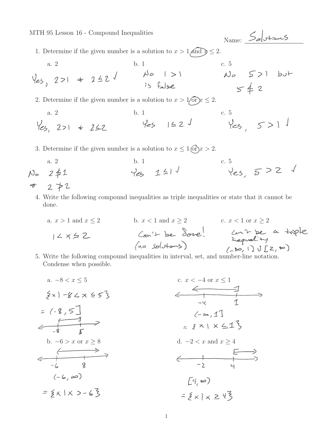MTH 95 Lesson 16 - Compound Inequalities

1. Determine if the given number is a solution to  $x > 1$  and  $x \leq 2$ .

a. 2  
\nb. 1  
\nc. 5  
\n
$$
\sqrt{e5}
$$
, 2>1  $\Leftrightarrow$  242  
\n $\Leftrightarrow$  252  
\n2. Determine if the given number is a solution to  $x > 1$  or  $x \le 2$ .  
\na. 2  
\nb. 1  
\nc. 5  
\n $\sqrt{e5}$ , 2>1  $\Leftrightarrow$  242  
\n $\Leftrightarrow$  242  
\n $\Leftrightarrow$  242  
\n $\Leftrightarrow$  242  
\n $\Leftrightarrow$  242  
\n $\Leftrightarrow$  242  
\n $\Leftrightarrow$  242  
\n $\Leftrightarrow$  242  
\n $\Leftrightarrow$  242  
\n $\Leftrightarrow$  242  
\n $\Leftrightarrow$  242  
\n $\Leftrightarrow$  242  
\n $\Leftrightarrow$  242  
\n $\Leftrightarrow$  242  
\n $\Leftrightarrow$  242  
\n $\Leftrightarrow$  242  
\n $\Leftrightarrow$  242  
\n $\Leftrightarrow$  242  
\n $\Leftrightarrow$  242  
\n $\Leftrightarrow$  242  
\n $\Leftrightarrow$  242  
\n $\Leftrightarrow$  242  
\n $\Leftrightarrow$  242  
\n $\Leftrightarrow$  242  
\n $\Leftrightarrow$  242  
\n $\Leftrightarrow$  242  
\n $\Leftrightarrow$  242  
\n $\Leftrightarrow$  242  
\n $\Leftrightarrow$  242  
\n $\Leftrightarrow$  242  
\n $\Leftrightarrow$  242  
\n $\Leftrightarrow$  242  
\n $\Leftrightarrow$  242  
\n $\Leftrightarrow$  242  
\n $\Leftrightarrow$  242  
\n $\Leftrightarrow$  242  
\n $\Leftrightarrow$  242  
\n

Name: Solutions

3. Determine if the given number is a solution to  $x \leq 1$  (or  $x > 2$ .

a. 2 b. 1 c. 5

- 4. Write the following compound inequalities as triple inequalities or state that it cannot be done.
- a.  $x > 1$  and  $x \le 2$ <br>  $1 \le x \le 2$ <br>  $\le x < 1$  or  $x \ge 2$ <br>  $\le x < 1$  or  $x \ge 2$ <br>  $\le x < 1$  or  $x \ge 2$ <br>  $\le x < 1$  or  $x \ge 2$ <br>  $\le x < 1$  or  $x \ge 2$ <br>  $\le x < 1$  or  $x \ge 2$  $14x52$ (no solutions) 5. Write the following compound inequalities in interval, set, and number-line notation.
- Condense when possible.
- a.  $-8 < x < 5$ c.  $x < -4$  or  $x \le 1$ <br>  $\leftarrow$  1  $\{x\} - 82x \le 53$  $= (-8, 5]$  $=$  (-8, 5)<br> $\leftarrow$   $\frac{1}{3}$  $(-1.1$  $5251225$ b.  $-6 > x$  or  $x \ge 8$ d.  $-2 < x$  and  $x \ge 4$  $\leftarrow +$  $(-6, 8)$  $[4, 82)$  $=$   $\xi$   $\times$   $\mid$   $\times$   $>$  -  $\&$   $\xi$  $= 5 \times 1 \times 243$